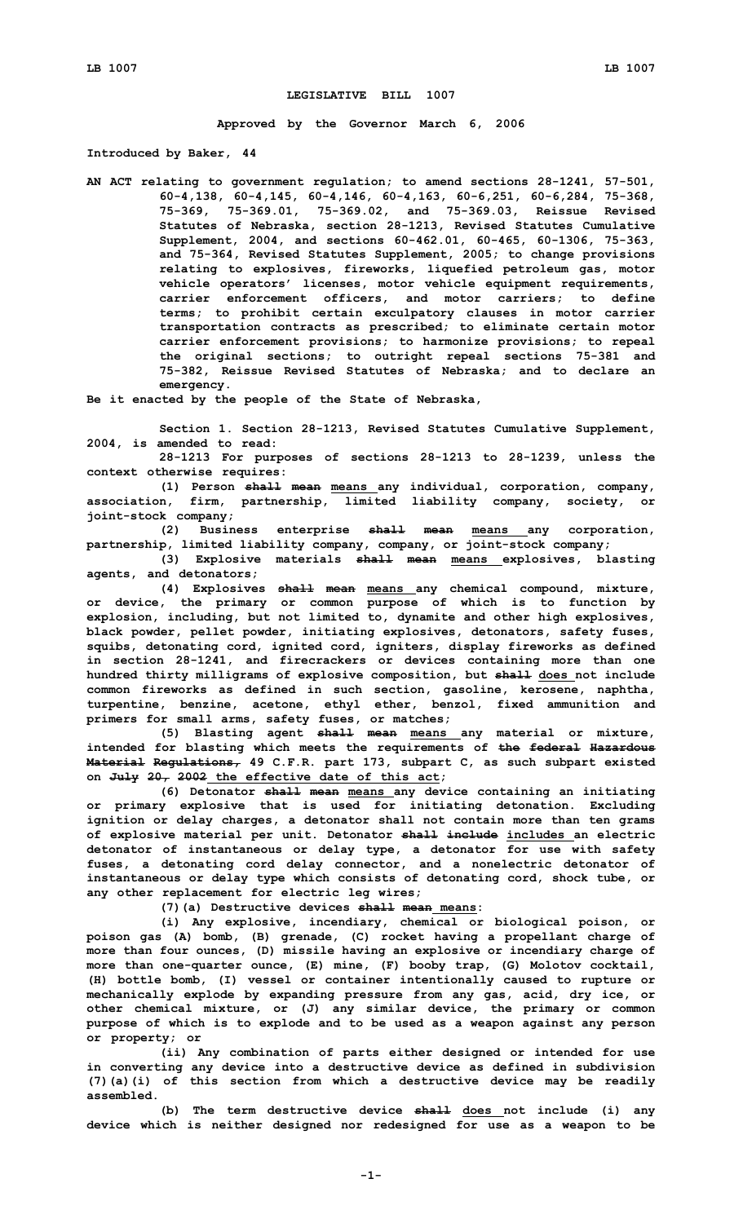## **LEGISLATIVE BILL 1007**

**Approved by the Governor March 6, 2006**

**Introduced by Baker, 44**

**AN ACT relating to government regulation; to amend sections 28-1241, 57-501, 60-4,138, 60-4,145, 60-4,146, 60-4,163, 60-6,251, 60-6,284, 75-368, 75-369, 75-369.01, 75-369.02, and 75-369.03, Reissue Revised Statutes of Nebraska, section 28-1213, Revised Statutes Cumulative Supplement, 2004, and sections 60-462.01, 60-465, 60-1306, 75-363, and 75-364, Revised Statutes Supplement, 2005; to change provisions relating to explosives, fireworks, liquefied petroleum gas, motor vehicle operators' licenses, motor vehicle equipment requirements, carrier enforcement officers, and motor carriers; to define terms; to prohibit certain exculpatory clauses in motor carrier transportation contracts as prescribed; to eliminate certain motor carrier enforcement provisions; to harmonize provisions; to repeal the original sections; to outright repeal sections 75-381 and 75-382, Reissue Revised Statutes of Nebraska; and to declare an emergency.**

**Be it enacted by the people of the State of Nebraska,**

**Section 1. Section 28-1213, Revised Statutes Cumulative Supplement, 2004, is amended to read:**

**28-1213 For purposes of sections 28-1213 to 28-1239, unless the context otherwise requires:**

**(1) Person shall mean means any individual, corporation, company, association, firm, partnership, limited liability company, society, or joint-stock company;**

**(2) Business enterprise shall mean means any corporation, partnership, limited liability company, company, or joint-stock company;**

**(3) Explosive materials shall mean means explosives, blasting agents, and detonators;**

**(4) Explosives shall mean means any chemical compound, mixture, or device, the primary or common purpose of which is to function by explosion, including, but not limited to, dynamite and other high explosives, black powder, pellet powder, initiating explosives, detonators, safety fuses, squibs, detonating cord, ignited cord, igniters, display fireworks as defined in section 28-1241, and firecrackers or devices containing more than one hundred thirty milligrams of explosive composition, but shall does not include common fireworks as defined in such section, gasoline, kerosene, naphtha, turpentine, benzine, acetone, ethyl ether, benzol, fixed ammunition and primers for small arms, safety fuses, or matches;**

**(5) Blasting agent shall mean means any material or mixture, intended for blasting which meets the requirements of the federal Hazardous Material Regulations, 49 C.F.R. part 173, subpart C, as such subpart existed on July 20, 2002 the effective date of this act;**

**(6) Detonator shall mean means any device containing an initiating or primary explosive that is used for initiating detonation. Excluding ignition or delay charges, <sup>a</sup> detonator shall not contain more than ten grams of explosive material per unit. Detonator shall include includes an electric detonator of instantaneous or delay type, <sup>a</sup> detonator for use with safety fuses, <sup>a</sup> detonating cord delay connector, and <sup>a</sup> nonelectric detonator of instantaneous or delay type which consists of detonating cord, shock tube, or any other replacement for electric leg wires;**

**(7)(a) Destructive devices shall mean means:**

**(i) Any explosive, incendiary, chemical or biological poison, or poison gas (A) bomb, (B) grenade, (C) rocket having <sup>a</sup> propellant charge of more than four ounces, (D) missile having an explosive or incendiary charge of more than one-quarter ounce, (E) mine, (F) booby trap, (G) Molotov cocktail, (H) bottle bomb, (I) vessel or container intentionally caused to rupture or mechanically explode by expanding pressure from any gas, acid, dry ice, or other chemical mixture, or (J) any similar device, the primary or common purpose of which is to explode and to be used as <sup>a</sup> weapon against any person or property; or**

**(ii) Any combination of parts either designed or intended for use in converting any device into <sup>a</sup> destructive device as defined in subdivision (7)(a)(i) of this section from which <sup>a</sup> destructive device may be readily assembled.**

**(b) The term destructive device shall does not include (i) any device which is neither designed nor redesigned for use as <sup>a</sup> weapon to be**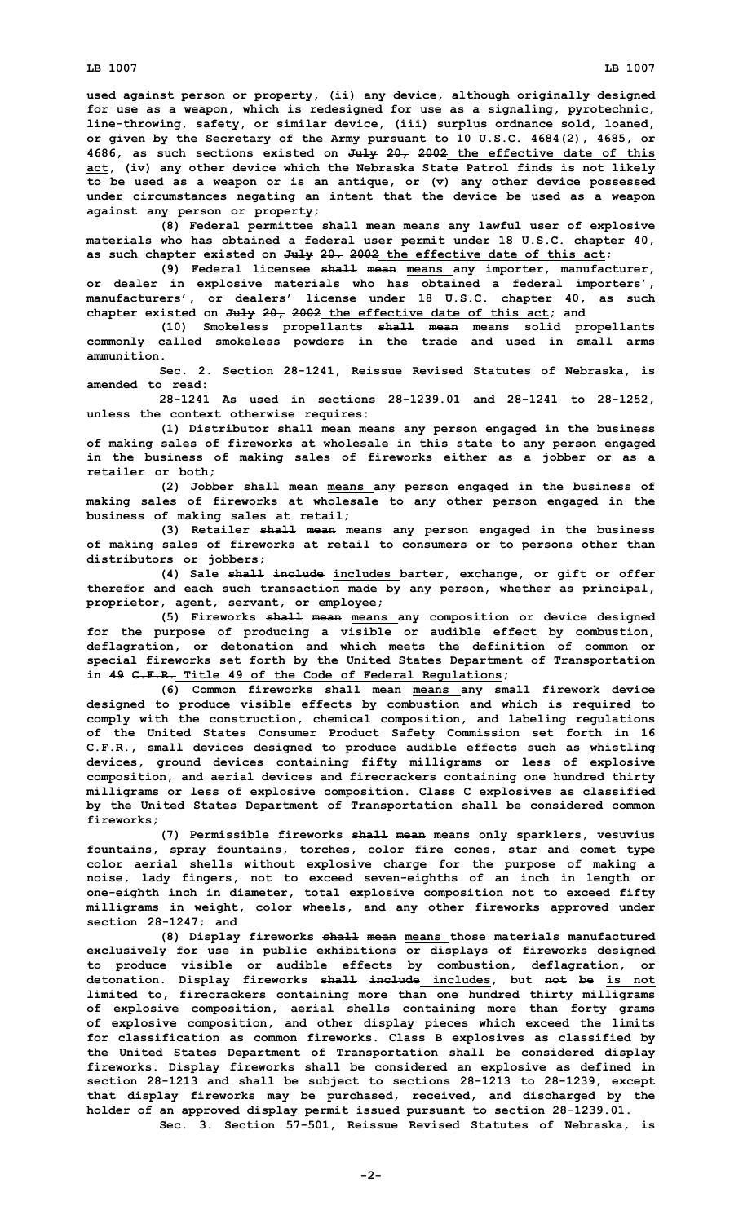**used against person or property, (ii) any device, although originally designed for use as <sup>a</sup> weapon, which is redesigned for use as <sup>a</sup> signaling, pyrotechnic, line-throwing, safety, or similar device, (iii) surplus ordnance sold, loaned, or given by the Secretary of the Army pursuant to 10 U.S.C. 4684(2), 4685, or 4686, as such sections existed on July 20, 2002 the effective date of this act, (iv) any other device which the Nebraska State Patrol finds is not likely to be used as <sup>a</sup> weapon or is an antique, or (v) any other device possessed under circumstances negating an intent that the device be used as <sup>a</sup> weapon against any person or property;**

**(8) Federal permittee shall mean means any lawful user of explosive materials who has obtained <sup>a</sup> federal user permit under 18 U.S.C. chapter 40, as such chapter existed on July 20, 2002 the effective date of this act;**

**(9) Federal licensee shall mean means any importer, manufacturer, or dealer in explosive materials who has obtained <sup>a</sup> federal importers', manufacturers', or dealers' license under 18 U.S.C. chapter 40, as such chapter existed on July 20, 2002 the effective date of this act; and**

**(10) Smokeless propellants shall mean means solid propellants commonly called smokeless powders in the trade and used in small arms ammunition.**

**Sec. 2. Section 28-1241, Reissue Revised Statutes of Nebraska, is amended to read:**

**28-1241 As used in sections 28-1239.01 and 28-1241 to 28-1252, unless the context otherwise requires:**

**(1) Distributor shall mean means any person engaged in the business of making sales of fireworks at wholesale in this state to any person engaged in the business of making sales of fireworks either as <sup>a</sup> jobber or as <sup>a</sup> retailer or both;**

**(2) Jobber shall mean means any person engaged in the business of making sales of fireworks at wholesale to any other person engaged in the business of making sales at retail;**

**(3) Retailer shall mean means any person engaged in the business of making sales of fireworks at retail to consumers or to persons other than distributors or jobbers;**

**(4) Sale shall include includes barter, exchange, or gift or offer therefor and each such transaction made by any person, whether as principal, proprietor, agent, servant, or employee;**

**(5) Fireworks shall mean means any composition or device designed for the purpose of producing <sup>a</sup> visible or audible effect by combustion, deflagration, or detonation and which meets the definition of common or special fireworks set forth by the United States Department of Transportation in 49 C.F.R. Title 49 of the Code of Federal Regulations;**

**(6) Common fireworks shall mean means any small firework device designed to produce visible effects by combustion and which is required to comply with the construction, chemical composition, and labeling regulations of the United States Consumer Product Safety Commission set forth in 16 C.F.R., small devices designed to produce audible effects such as whistling devices, ground devices containing fifty milligrams or less of explosive composition, and aerial devices and firecrackers containing one hundred thirty milligrams or less of explosive composition. Class C explosives as classified by the United States Department of Transportation shall be considered common fireworks;**

**(7) Permissible fireworks shall mean means only sparklers, vesuvius fountains, spray fountains, torches, color fire cones, star and comet type color aerial shells without explosive charge for the purpose of making <sup>a</sup> noise, lady fingers, not to exceed seven-eighths of an inch in length or one-eighth inch in diameter, total explosive composition not to exceed fifty milligrams in weight, color wheels, and any other fireworks approved under section 28-1247; and**

**(8) Display fireworks shall mean means those materials manufactured exclusively for use in public exhibitions or displays of fireworks designed to produce visible or audible effects by combustion, deflagration, or detonation. Display fireworks shall include includes, but not be is not limited to, firecrackers containing more than one hundred thirty milligrams of explosive composition, aerial shells containing more than forty grams of explosive composition, and other display pieces which exceed the limits for classification as common fireworks. Class B explosives as classified by the United States Department of Transportation shall be considered display fireworks. Display fireworks shall be considered an explosive as defined in section 28-1213 and shall be subject to sections 28-1213 to 28-1239, except that display fireworks may be purchased, received, and discharged by the holder of an approved display permit issued pursuant to section 28-1239.01.**

**Sec. 3. Section 57-501, Reissue Revised Statutes of Nebraska, is**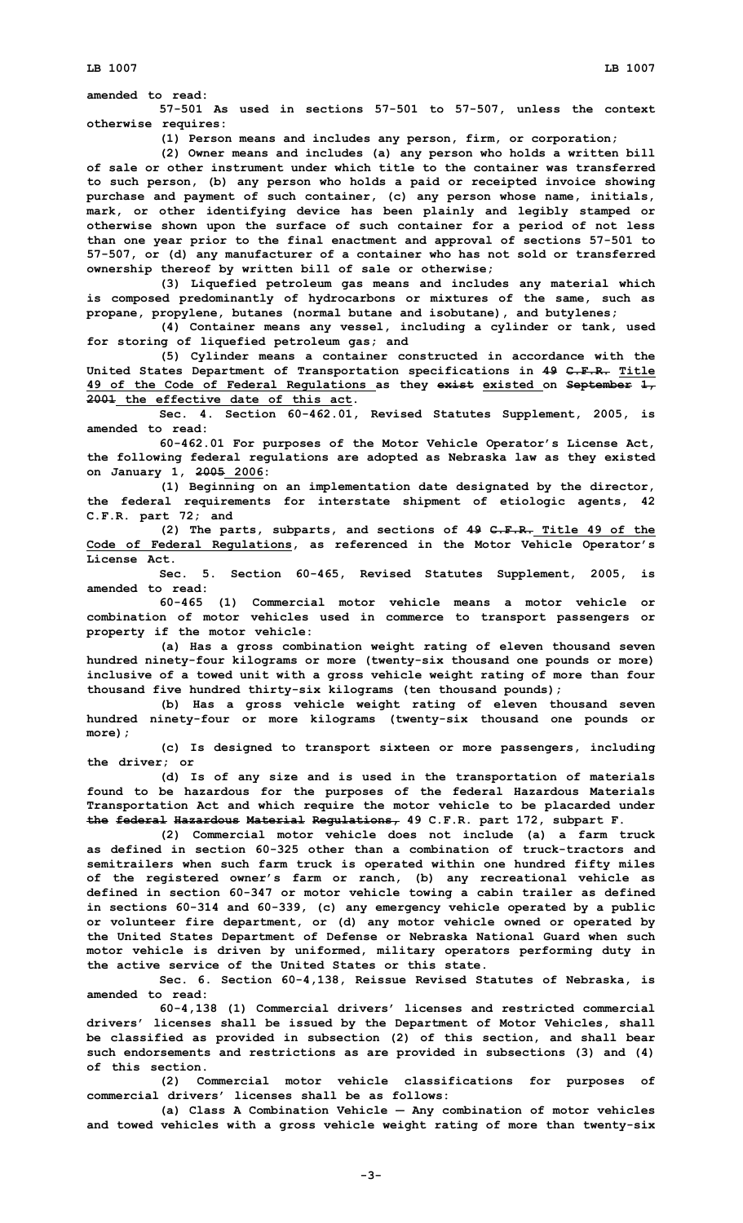**amended to read:**

**57-501 As used in sections 57-501 to 57-507, unless the context otherwise requires:**

**(1) Person means and includes any person, firm, or corporation;**

**(2) Owner means and includes (a) any person who holds <sup>a</sup> written bill of sale or other instrument under which title to the container was transferred to such person, (b) any person who holds <sup>a</sup> paid or receipted invoice showing purchase and payment of such container, (c) any person whose name, initials, mark, or other identifying device has been plainly and legibly stamped or otherwise shown upon the surface of such container for <sup>a</sup> period of not less than one year prior to the final enactment and approval of sections 57-501 to 57-507, or (d) any manufacturer of <sup>a</sup> container who has not sold or transferred ownership thereof by written bill of sale or otherwise;**

**(3) Liquefied petroleum gas means and includes any material which is composed predominantly of hydrocarbons or mixtures of the same, such as propane, propylene, butanes (normal butane and isobutane), and butylenes;**

**(4) Container means any vessel, including <sup>a</sup> cylinder or tank, used for storing of liquefied petroleum gas; and**

**(5) Cylinder means <sup>a</sup> container constructed in accordance with the United States Department of Transportation specifications in 49 C.F.R. Title 49 of the Code of Federal Regulations as they exist existed on September 1, 2001 the effective date of this act.**

**Sec. 4. Section 60-462.01, Revised Statutes Supplement, 2005, is amended to read:**

**60-462.01 For purposes of the Motor Vehicle Operator's License Act, the following federal regulations are adopted as Nebraska law as they existed on January 1, 2005 2006:**

**(1) Beginning on an implementation date designated by the director, the federal requirements for interstate shipment of etiologic agents, 42 C.F.R. part 72; and**

**(2) The parts, subparts, and sections of 49 C.F.R. Title 49 of the Code of Federal Regulations, as referenced in the Motor Vehicle Operator's License Act.**

**Sec. 5. Section 60-465, Revised Statutes Supplement, 2005, is amended to read:**

**60-465 (1) Commercial motor vehicle means <sup>a</sup> motor vehicle or combination of motor vehicles used in commerce to transport passengers or property if the motor vehicle:**

**(a) Has <sup>a</sup> gross combination weight rating of eleven thousand seven hundred ninety-four kilograms or more (twenty-six thousand one pounds or more) inclusive of <sup>a</sup> towed unit with <sup>a</sup> gross vehicle weight rating of more than four thousand five hundred thirty-six kilograms (ten thousand pounds);**

**(b) Has <sup>a</sup> gross vehicle weight rating of eleven thousand seven hundred ninety-four or more kilograms (twenty-six thousand one pounds or more);**

**(c) Is designed to transport sixteen or more passengers, including the driver; or**

**(d) Is of any size and is used in the transportation of materials found to be hazardous for the purposes of the federal Hazardous Materials Transportation Act and which require the motor vehicle to be placarded under the federal Hazardous Material Regulations, 49 C.F.R. part 172, subpart F.**

**(2) Commercial motor vehicle does not include (a) <sup>a</sup> farm truck as defined in section 60-325 other than a combination of truck-tractors and semitrailers when such farm truck is operated within one hundred fifty miles of the registered owner's farm or ranch, (b) any recreational vehicle as defined in section 60-347 or motor vehicle towing <sup>a</sup> cabin trailer as defined in sections 60-314 and 60-339, (c) any emergency vehicle operated by <sup>a</sup> public or volunteer fire department, or (d) any motor vehicle owned or operated by the United States Department of Defense or Nebraska National Guard when such motor vehicle is driven by uniformed, military operators performing duty in the active service of the United States or this state.**

**Sec. 6. Section 60-4,138, Reissue Revised Statutes of Nebraska, is amended to read:**

**60-4,138 (1) Commercial drivers' licenses and restricted commercial drivers' licenses shall be issued by the Department of Motor Vehicles, shall be classified as provided in subsection (2) of this section, and shall bear such endorsements and restrictions as are provided in subsections (3) and (4) of this section.**

**(2) Commercial motor vehicle classifications for purposes of commercial drivers' licenses shall be as follows:**

**(a) Class <sup>A</sup> Combination Vehicle** — **Any combination of motor vehicles and towed vehicles with <sup>a</sup> gross vehicle weight rating of more than twenty-six**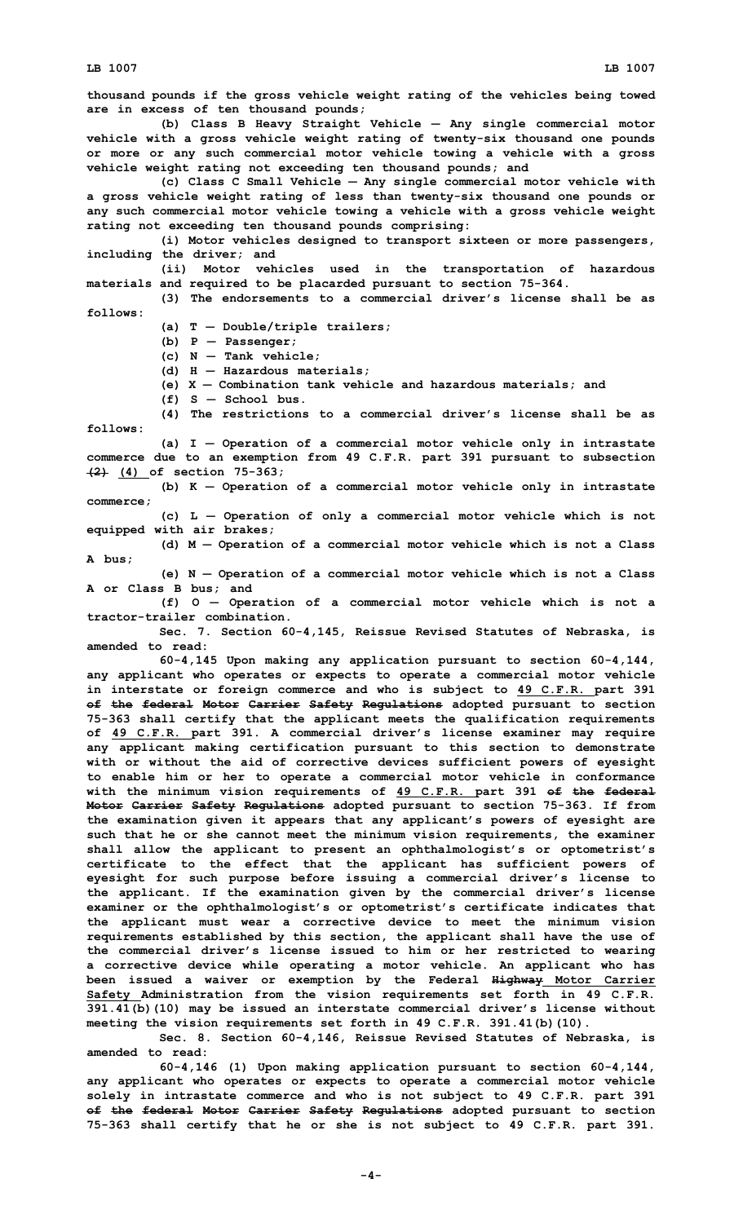**thousand pounds if the gross vehicle weight rating of the vehicles being towed are in excess of ten thousand pounds;**

**(b) Class <sup>B</sup> Heavy Straight Vehicle** — **Any single commercial motor vehicle with <sup>a</sup> gross vehicle weight rating of twenty-six thousand one pounds or more or any such commercial motor vehicle towing <sup>a</sup> vehicle with <sup>a</sup> gross vehicle weight rating not exceeding ten thousand pounds; and**

**(c) Class C Small Vehicle** — **Any single commercial motor vehicle with <sup>a</sup> gross vehicle weight rating of less than twenty-six thousand one pounds or any such commercial motor vehicle towing <sup>a</sup> vehicle with <sup>a</sup> gross vehicle weight rating not exceeding ten thousand pounds comprising:**

**(i) Motor vehicles designed to transport sixteen or more passengers, including the driver; and**

**(ii) Motor vehicles used in the transportation of hazardous materials and required to be placarded pursuant to section 75-364.**

**(3) The endorsements to <sup>a</sup> commercial driver's license shall be as follows:**

**(a) <sup>T</sup>** — **Double/triple trailers;**

- **(b) <sup>P</sup> Passenger;**
- **(c) N Tank vehicle;**
- **(d) H Hazardous materials;**
- **(e) X Combination tank vehicle and hazardous materials; and**
- **(f) S School bus.**

**(4) The restrictions to <sup>a</sup> commercial driver's license shall be as follows:**

**(a) <sup>I</sup>** — **Operation of <sup>a</sup> commercial motor vehicle only in intrastate commerce due to an exemption from 49 C.F.R. part 391 pursuant to subsection (2) (4) of section 75-363;**

**(b) <sup>K</sup>** — **Operation of <sup>a</sup> commercial motor vehicle only in intrastate commerce;**

**(c) <sup>L</sup>** — **Operation of only <sup>a</sup> commercial motor vehicle which is not equipped with air brakes;**

**(d) <sup>M</sup>** — **Operation of <sup>a</sup> commercial motor vehicle which is not <sup>a</sup> Class A bus;**

**(e) <sup>N</sup>** — **Operation of <sup>a</sup> commercial motor vehicle which is not <sup>a</sup> Class A or Class B bus; and**

**(f) O** — **Operation of <sup>a</sup> commercial motor vehicle which is not <sup>a</sup> tractor-trailer combination.**

**Sec. 7. Section 60-4,145, Reissue Revised Statutes of Nebraska, is amended to read:**

**60-4,145 Upon making any application pursuant to section 60-4,144, any applicant who operates or expects to operate <sup>a</sup> commercial motor vehicle in interstate or foreign commerce and who is subject to 49 C.F.R. part 391 of the federal Motor Carrier Safety Regulations adopted pursuant to section 75-363 shall certify that the applicant meets the qualification requirements of 49 C.F.R. part 391. <sup>A</sup> commercial driver's license examiner may require any applicant making certification pursuant to this section to demonstrate with or without the aid of corrective devices sufficient powers of eyesight to enable him or her to operate <sup>a</sup> commercial motor vehicle in conformance with the minimum vision requirements of 49 C.F.R. part 391 of the federal Motor Carrier Safety Regulations adopted pursuant to section 75-363. If from the examination given it appears that any applicant's powers of eyesight are such that he or she cannot meet the minimum vision requirements, the examiner shall allow the applicant to present an ophthalmologist's or optometrist's certificate to the effect that the applicant has sufficient powers of eyesight for such purpose before issuing <sup>a</sup> commercial driver's license to the applicant. If the examination given by the commercial driver's license examiner or the ophthalmologist's or optometrist's certificate indicates that the applicant must wear <sup>a</sup> corrective device to meet the minimum vision requirements established by this section, the applicant shall have the use of the commercial driver's license issued to him or her restricted to wearing <sup>a</sup> corrective device while operating <sup>a</sup> motor vehicle. An applicant who has been issued <sup>a</sup> waiver or exemption by the Federal Highway Motor Carrier Safety Administration from the vision requirements set forth in 49 C.F.R. 391.41(b)(10) may be issued an interstate commercial driver's license without meeting the vision requirements set forth in 49 C.F.R. 391.41(b)(10).**

**Sec. 8. Section 60-4,146, Reissue Revised Statutes of Nebraska, is amended to read:**

**60-4,146 (1) Upon making application pursuant to section 60-4,144, any applicant who operates or expects to operate <sup>a</sup> commercial motor vehicle solely in intrastate commerce and who is not subject to 49 C.F.R. part 391 of the federal Motor Carrier Safety Regulations adopted pursuant to section 75-363 shall certify that he or she is not subject to 49 C.F.R. part 391.**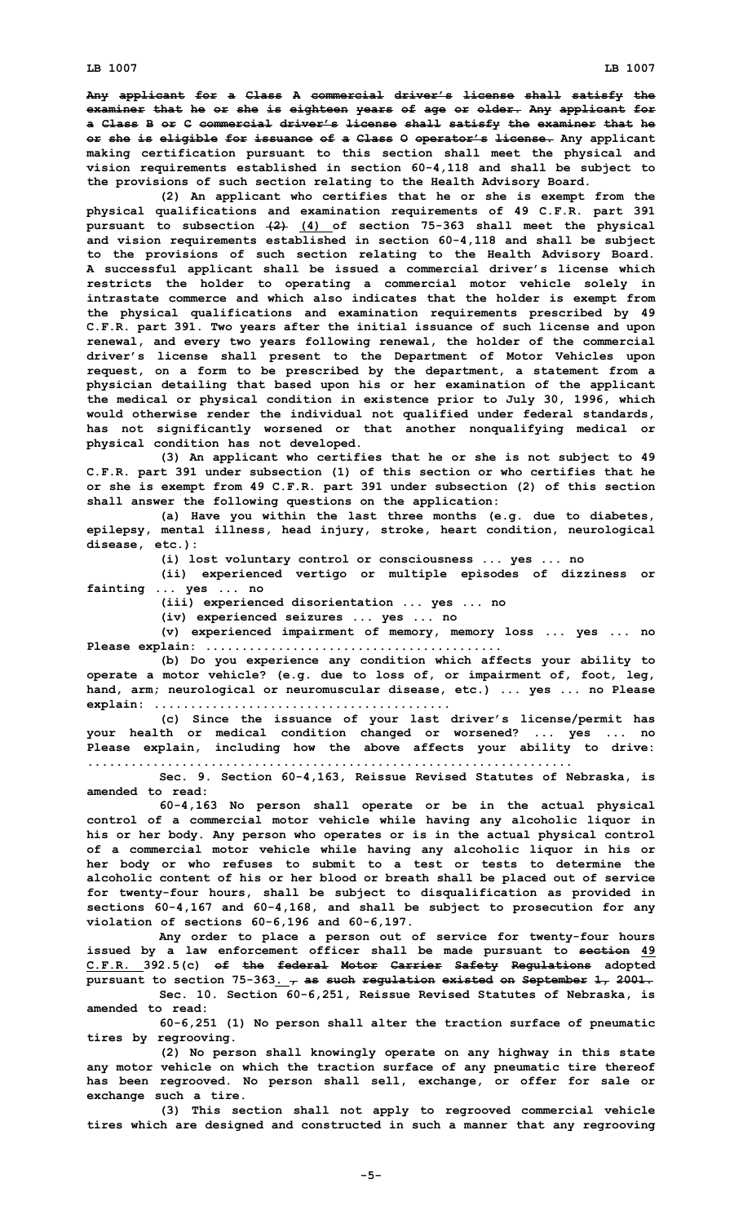**Any applicant for <sup>a</sup> Class A commercial driver's license shall satisfy the examiner that he or she is eighteen years of age or older. Any applicant for <sup>a</sup> Class B or C commercial driver's license shall satisfy the examiner that he or she is eligible for issuance of <sup>a</sup> Class O operator's license. Any applicant making certification pursuant to this section shall meet the physical and vision requirements established in section 60-4,118 and shall be subject to the provisions of such section relating to the Health Advisory Board.**

**(2) An applicant who certifies that he or she is exempt from the physical qualifications and examination requirements of 49 C.F.R. part 391 pursuant to subsection (2) (4) of section 75-363 shall meet the physical and vision requirements established in section 60-4,118 and shall be subject to the provisions of such section relating to the Health Advisory Board. A successful applicant shall be issued <sup>a</sup> commercial driver's license which restricts the holder to operating <sup>a</sup> commercial motor vehicle solely in intrastate commerce and which also indicates that the holder is exempt from the physical qualifications and examination requirements prescribed by 49 C.F.R. part 391. Two years after the initial issuance of such license and upon renewal, and every two years following renewal, the holder of the commercial driver's license shall present to the Department of Motor Vehicles upon request, on <sup>a</sup> form to be prescribed by the department, <sup>a</sup> statement from <sup>a</sup> physician detailing that based upon his or her examination of the applicant the medical or physical condition in existence prior to July 30, 1996, which would otherwise render the individual not qualified under federal standards, has not significantly worsened or that another nonqualifying medical or physical condition has not developed.**

**(3) An applicant who certifies that he or she is not subject to 49 C.F.R. part 391 under subsection (1) of this section or who certifies that he or she is exempt from 49 C.F.R. part 391 under subsection (2) of this section shall answer the following questions on the application:**

**(a) Have you within the last three months (e.g. due to diabetes, epilepsy, mental illness, head injury, stroke, heart condition, neurological disease, etc.):**

**(i) lost voluntary control or consciousness ... yes ... no**

**(ii) experienced vertigo or multiple episodes of dizziness or fainting ... yes ... no**

**(iii) experienced disorientation ... yes ... no**

**(iv) experienced seizures ... yes ... no**

**(v) experienced impairment of memory, memory loss ... yes ... no Please explain: .........................................**

**(b) Do you experience any condition which affects your ability to operate <sup>a</sup> motor vehicle? (e.g. due to loss of, or impairment of, foot, leg, hand, arm; neurological or neuromuscular disease, etc.) ... yes ... no Please explain: .........................................**

**(c) Since the issuance of your last driver's license/permit has your health or medical condition changed or worsened? ... yes ... no Please explain, including how the above affects your ability to drive: ...................................................................**

**Sec. 9. Section 60-4,163, Reissue Revised Statutes of Nebraska, is amended to read:**

**60-4,163 No person shall operate or be in the actual physical control of <sup>a</sup> commercial motor vehicle while having any alcoholic liquor in his or her body. Any person who operates or is in the actual physical control of <sup>a</sup> commercial motor vehicle while having any alcoholic liquor in his or her body or who refuses to submit to <sup>a</sup> test or tests to determine the alcoholic content of his or her blood or breath shall be placed out of service for twenty-four hours, shall be subject to disqualification as provided in sections 60-4,167 and 60-4,168, and shall be subject to prosecution for any violation of sections 60-6,196 and 60-6,197.**

**Any order to place <sup>a</sup> person out of service for twenty-four hours issued by <sup>a</sup> law enforcement officer shall be made pursuant to section 49 C.F.R. 392.5(c) of the federal Motor Carrier Safety Regulations adopted pursuant to section 75-363. , as such regulation existed on September 1, 2001. Sec. 10. Section 60-6,251, Reissue Revised Statutes of Nebraska, is**

**amended to read:**

**60-6,251 (1) No person shall alter the traction surface of pneumatic tires by regrooving.**

**(2) No person shall knowingly operate on any highway in this state any motor vehicle on which the traction surface of any pneumatic tire thereof has been regrooved. No person shall sell, exchange, or offer for sale or exchange such <sup>a</sup> tire.**

**(3) This section shall not apply to regrooved commercial vehicle tires which are designed and constructed in such <sup>a</sup> manner that any regrooving**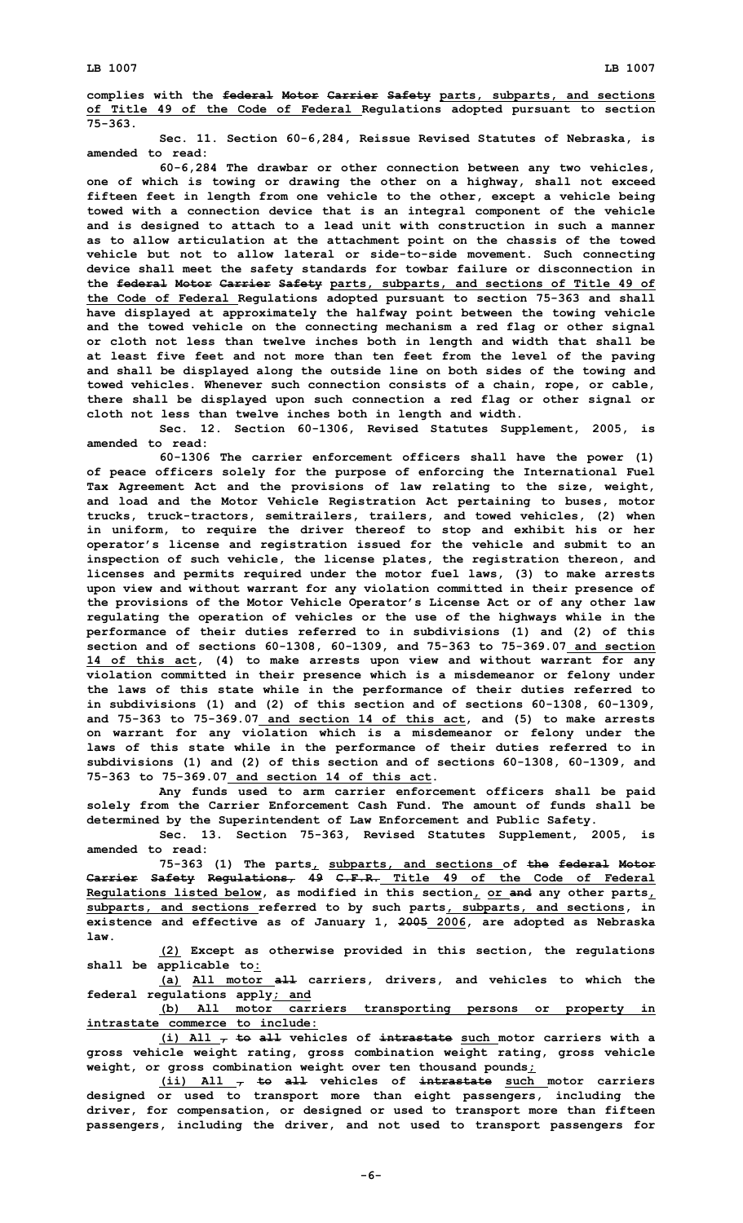**complies with the federal Motor Carrier Safety parts, subparts, and sections of Title 49 of the Code of Federal Regulations adopted pursuant to section 75-363.**

**Sec. 11. Section 60-6,284, Reissue Revised Statutes of Nebraska, is amended to read:**

**60-6,284 The drawbar or other connection between any two vehicles, one of which is towing or drawing the other on <sup>a</sup> highway, shall not exceed fifteen feet in length from one vehicle to the other, except <sup>a</sup> vehicle being towed with <sup>a</sup> connection device that is an integral component of the vehicle and is designed to attach to <sup>a</sup> lead unit with construction in such <sup>a</sup> manner as to allow articulation at the attachment point on the chassis of the towed vehicle but not to allow lateral or side-to-side movement. Such connecting device shall meet the safety standards for towbar failure or disconnection in the federal Motor Carrier Safety parts, subparts, and sections of Title 49 of the Code of Federal Regulations adopted pursuant to section 75-363 and shall have displayed at approximately the halfway point between the towing vehicle and the towed vehicle on the connecting mechanism <sup>a</sup> red flag or other signal or cloth not less than twelve inches both in length and width that shall be at least five feet and not more than ten feet from the level of the paving and shall be displayed along the outside line on both sides of the towing and towed vehicles. Whenever such connection consists of <sup>a</sup> chain, rope, or cable, there shall be displayed upon such connection <sup>a</sup> red flag or other signal or cloth not less than twelve inches both in length and width.**

**Sec. 12. Section 60-1306, Revised Statutes Supplement, 2005, is amended to read:**

**60-1306 The carrier enforcement officers shall have the power (1) of peace officers solely for the purpose of enforcing the International Fuel Tax Agreement Act and the provisions of law relating to the size, weight, and load and the Motor Vehicle Registration Act pertaining to buses, motor trucks, truck-tractors, semitrailers, trailers, and towed vehicles, (2) when in uniform, to require the driver thereof to stop and exhibit his or her operator's license and registration issued for the vehicle and submit to an inspection of such vehicle, the license plates, the registration thereon, and licenses and permits required under the motor fuel laws, (3) to make arrests upon view and without warrant for any violation committed in their presence of the provisions of the Motor Vehicle Operator's License Act or of any other law regulating the operation of vehicles or the use of the highways while in the performance of their duties referred to in subdivisions (1) and (2) of this section and of sections 60-1308, 60-1309, and 75-363 to 75-369.07 and section 14 of this act, (4) to make arrests upon view and without warrant for any violation committed in their presence which is <sup>a</sup> misdemeanor or felony under the laws of this state while in the performance of their duties referred to in subdivisions (1) and (2) of this section and of sections 60-1308, 60-1309, and 75-363 to 75-369.07 and section 14 of this act, and (5) to make arrests on warrant for any violation which is <sup>a</sup> misdemeanor or felony under the laws of this state while in the performance of their duties referred to in subdivisions (1) and (2) of this section and of sections 60-1308, 60-1309, and 75-363 to 75-369.07 and section 14 of this act.**

**Any funds used to arm carrier enforcement officers shall be paid solely from the Carrier Enforcement Cash Fund. The amount of funds shall be determined by the Superintendent of Law Enforcement and Public Safety.**

**Sec. 13. Section 75-363, Revised Statutes Supplement, 2005, is amended to read:**

**75-363 (1) The parts, subparts, and sections of the federal Motor Carrier Safety Regulations, 49 C.F.R. Title 49 of the Code of Federal Regulations listed below, as modified in this section, or and any other parts, subparts, and sections referred to by such parts, subparts, and sections, in existence and effective as of January 1, 2005 2006, are adopted as Nebraska law.**

**(2) Except as otherwise provided in this section, the regulations shall be applicable to:**

**(a) All motor all carriers, drivers, and vehicles to which the federal regulations apply; and**

**(b) All motor carriers transporting persons or property in intrastate commerce to include:**

**(i) All , to all vehicles of intrastate such motor carriers with <sup>a</sup> gross vehicle weight rating, gross combination weight rating, gross vehicle weight, or gross combination weight over ten thousand pounds;**

**(ii) All , to all vehicles of intrastate such motor carriers designed or used to transport more than eight passengers, including the driver, for compensation, or designed or used to transport more than fifteen passengers, including the driver, and not used to transport passengers for**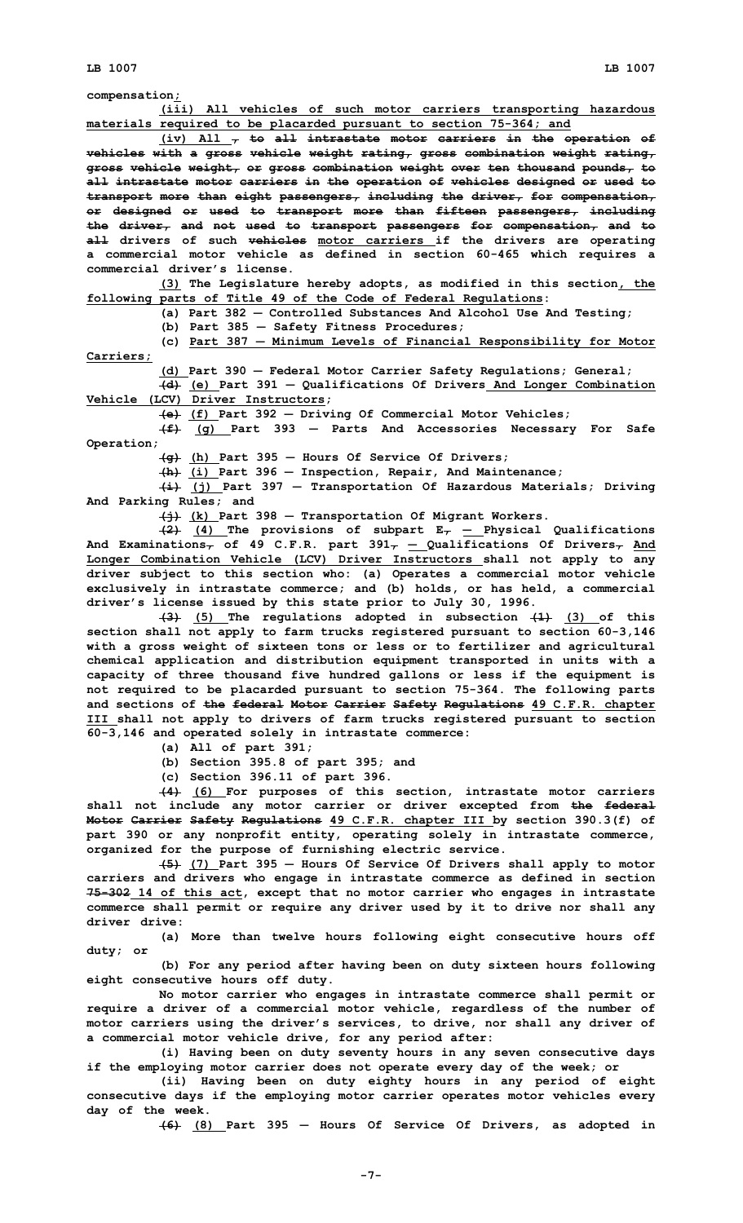**compensation;**

**(iii) All vehicles of such motor carriers transporting hazardous materials required to be placarded pursuant to section 75-364; and**

**(iv) All , to all intrastate motor carriers in the operation of vehicles with <sup>a</sup> gross vehicle weight rating, gross combination weight rating, gross vehicle weight, or gross combination weight over ten thousand pounds, to all intrastate motor carriers in the operation of vehicles designed or used to transport more than eight passengers, including the driver, for compensation, or designed or used to transport more than fifteen passengers, including the driver, and not used to transport passengers for compensation, and to all drivers of such vehicles motor carriers if the drivers are operating <sup>a</sup> commercial motor vehicle as defined in section 60-465 which requires <sup>a</sup> commercial driver's license.**

**(3) The Legislature hereby adopts, as modified in this section, the following parts of Title 49 of the Code of Federal Regulations:**

**(a) Part 382** — **Controlled Substances And Alcohol Use And Testing;**

**(b) Part 385** — **Safety Fitness Procedures;**

**(c) Part 387** ― **Minimum Levels of Financial Responsibility for Motor Carriers;**

**(d) Part 390** — **Federal Motor Carrier Safety Regulations; General;**

**(d) (e) Part 391** — **Qualifications Of Drivers And Longer Combination Vehicle (LCV) Driver Instructors;**

**(e) (f) Part 392** — **Driving Of Commercial Motor Vehicles;**

**(f) (g) Part 393** — **Parts And Accessories Necessary For Safe Operation;**

**(g) (h) Part 395** — **Hours Of Service Of Drivers;**

**(h) (i) Part 396** — **Inspection, Repair, And Maintenance;**

**(i) (j) Part 397** — **Transportation Of Hazardous Materials; Driving And Parking Rules; and**

**(j) (k) Part 398** — **Transportation Of Migrant Workers.**

**(2) (4) The provisions of subpart E,** ― **Physical Qualifications And Examinations, of 49 C.F.R. part 391,** ― **Qualifications Of Drivers, And Longer Combination Vehicle (LCV) Driver Instructors shall not apply to any driver subject to this section who: (a) Operates <sup>a</sup> commercial motor vehicle exclusively in intrastate commerce; and (b) holds, or has held, <sup>a</sup> commercial driver's license issued by this state prior to July 30, 1996.**

**(3) (5) The regulations adopted in subsection (1) (3) of this section shall not apply to farm trucks registered pursuant to section 60-3,146 with <sup>a</sup> gross weight of sixteen tons or less or to fertilizer and agricultural chemical application and distribution equipment transported in units with <sup>a</sup> capacity of three thousand five hundred gallons or less if the equipment is not required to be placarded pursuant to section 75-364. The following parts and sections of the federal Motor Carrier Safety Regulations 49 C.F.R. chapter III shall not apply to drivers of farm trucks registered pursuant to section 60-3,146 and operated solely in intrastate commerce:**

**(a) All of part 391;**

**(b) Section 395.8 of part 395; and**

**(c) Section 396.11 of part 396.**

**(4) (6) For purposes of this section, intrastate motor carriers shall not include any motor carrier or driver excepted from the federal Motor Carrier Safety Regulations 49 C.F.R. chapter III by section 390.3(f) of part 390 or any nonprofit entity, operating solely in intrastate commerce, organized for the purpose of furnishing electric service.**

**(5) (7) Part 395** — **Hours Of Service Of Drivers shall apply to motor carriers and drivers who engage in intrastate commerce as defined in section 75-302 14 of this act, except that no motor carrier who engages in intrastate commerce shall permit or require any driver used by it to drive nor shall any driver drive:**

**(a) More than twelve hours following eight consecutive hours off duty; or**

**(b) For any period after having been on duty sixteen hours following eight consecutive hours off duty.**

**No motor carrier who engages in intrastate commerce shall permit or require <sup>a</sup> driver of <sup>a</sup> commercial motor vehicle, regardless of the number of motor carriers using the driver's services, to drive, nor shall any driver of <sup>a</sup> commercial motor vehicle drive, for any period after:**

**(i) Having been on duty seventy hours in any seven consecutive days if the employing motor carrier does not operate every day of the week; or**

**(ii) Having been on duty eighty hours in any period of eight consecutive days if the employing motor carrier operates motor vehicles every day of the week.**

**(6) (8) Part 395** — **Hours Of Service Of Drivers, as adopted in**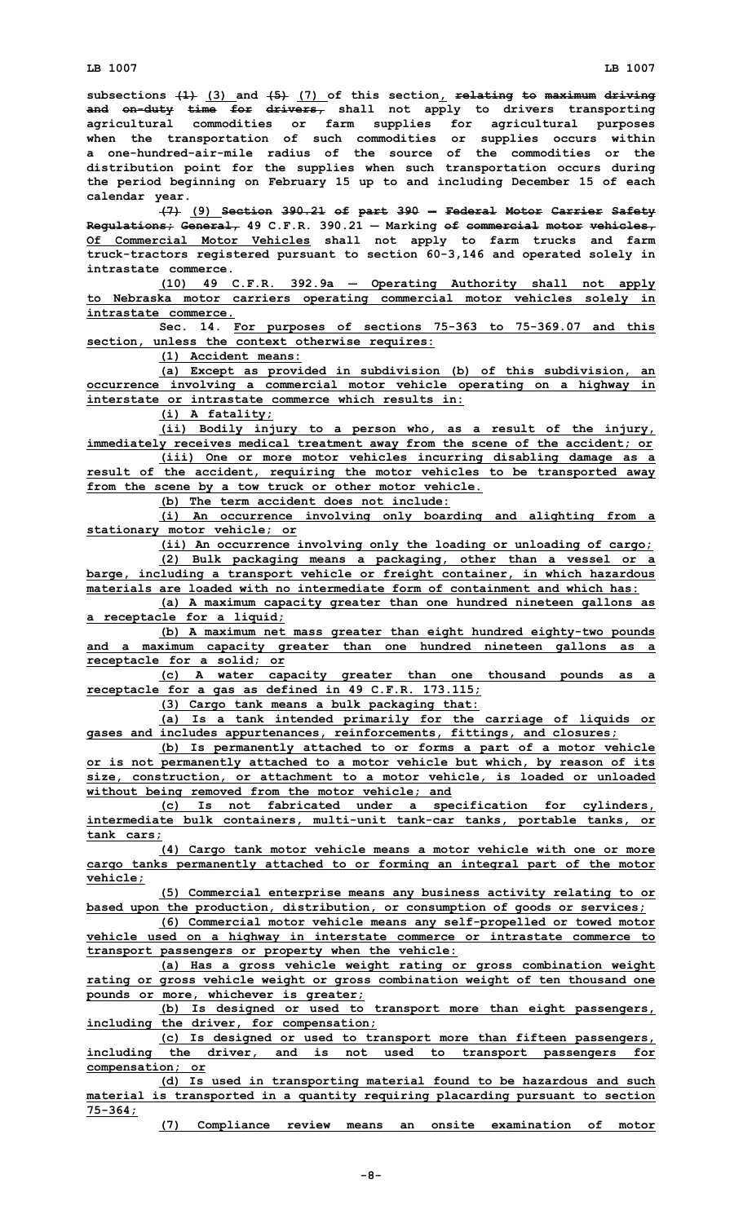**subsections (1) (3) and (5) (7) of this section, relating to maximum driving and on-duty time for drivers, shall not apply to drivers transporting agricultural commodities or farm supplies for agricultural purposes when the transportation of such commodities or supplies occurs within a one-hundred-air-mile radius of the source of the commodities or the distribution point for the supplies when such transportation occurs during the period beginning on February 15 up to and including December 15 of each calendar year.**

**(7) (9) Section 390.21 of part 390** — **Federal Motor Carrier Safety Regulations; General, 49 C.F.R. 390.21** — **Marking of commercial motor vehicles, Of Commercial Motor Vehicles shall not apply to farm trucks and farm truck-tractors registered pursuant to section 60-3,146 and operated solely in intrastate commerce.**

**(10) 49 C.F.R. 392.9a** ― **Operating Authority shall not apply to Nebraska motor carriers operating commercial motor vehicles solely in intrastate commerce.**

**Sec. 14. For purposes of sections 75-363 to 75-369.07 and this section, unless the context otherwise requires:**

**(1) Accident means:**

**(a) Except as provided in subdivision (b) of this subdivision, an occurrence involving <sup>a</sup> commercial motor vehicle operating on <sup>a</sup> highway in interstate or intrastate commerce which results in:**

**(i) <sup>A</sup> fatality;**

**(ii) Bodily injury to <sup>a</sup> person who, as <sup>a</sup> result of the injury, immediately receives medical treatment away from the scene of the accident; or (iii) One or more motor vehicles incurring disabling damage as <sup>a</sup>**

**result of the accident, requiring the motor vehicles to be transported away from the scene by <sup>a</sup> tow truck or other motor vehicle. (b) The term accident does not include:**

**(i) An occurrence involving only boarding and alighting from <sup>a</sup> stationary motor vehicle; or**

**(ii) An occurrence involving only the loading or unloading of cargo; (2) Bulk packaging means <sup>a</sup> packaging, other than <sup>a</sup> vessel or <sup>a</sup> barge, including <sup>a</sup> transport vehicle or freight container, in which hazardous**

**materials are loaded with no intermediate form of containment and which has: (a) <sup>A</sup> maximum capacity greater than one hundred nineteen gallons as**

**<sup>a</sup> receptacle for <sup>a</sup> liquid;**

**(b) <sup>A</sup> maximum net mass greater than eight hundred eighty-two pounds and <sup>a</sup> maximum capacity greater than one hundred nineteen gallons as <sup>a</sup> receptacle for <sup>a</sup> solid; or**

**(c) <sup>A</sup> water capacity greater than one thousand pounds as <sup>a</sup> receptacle for <sup>a</sup> gas as defined in 49 C.F.R. 173.115;**

**(3) Cargo tank means <sup>a</sup> bulk packaging that:**

**(a) Is <sup>a</sup> tank intended primarily for the carriage of liquids or gases and includes appurtenances, reinforcements, fittings, and closures;**

**(b) Is permanently attached to or forms <sup>a</sup> part of <sup>a</sup> motor vehicle or is not permanently attached to <sup>a</sup> motor vehicle but which, by reason of its size, construction, or attachment to <sup>a</sup> motor vehicle, is loaded or unloaded without being removed from the motor vehicle; and**

**(c) Is not fabricated under <sup>a</sup> specification for cylinders, intermediate bulk containers, multi-unit tank-car tanks, portable tanks, or tank cars;**

**(4) Cargo tank motor vehicle means <sup>a</sup> motor vehicle with one or more cargo tanks permanently attached to or forming an integral part of the motor vehicle;**

**(5) Commercial enterprise means any business activity relating to or based upon the production, distribution, or consumption of goods or services;**

**(6) Commercial motor vehicle means any self-propelled or towed motor vehicle used on <sup>a</sup> highway in interstate commerce or intrastate commerce to transport passengers or property when the vehicle:**

**(a) Has <sup>a</sup> gross vehicle weight rating or gross combination weight rating or gross vehicle weight or gross combination weight of ten thousand one pounds or more, whichever is greater;**

**(b) Is designed or used to transport more than eight passengers, including the driver, for compensation;**

**(c) Is designed or used to transport more than fifteen passengers, including the driver, and is not used to transport passengers for compensation; or**

**(d) Is used in transporting material found to be hazardous and such material is transported in <sup>a</sup> quantity requiring placarding pursuant to section 75-364;**

**(7) Compliance review means an onsite examination of motor**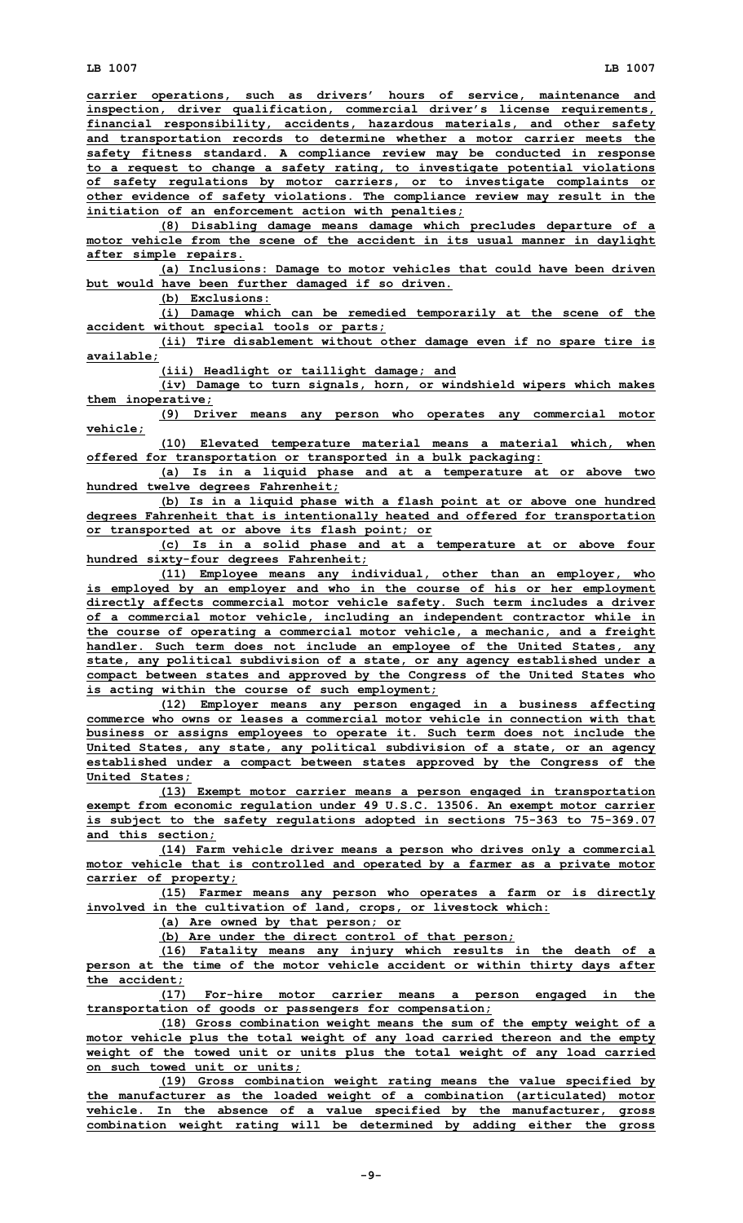**carrier operations, such as drivers' hours of service, maintenance and inspection, driver qualification, commercial driver's license requirements, financial responsibility, accidents, hazardous materials, and other safety and transportation records to determine whether <sup>a</sup> motor carrier meets the safety fitness standard. A compliance review may be conducted in response to <sup>a</sup> request to change <sup>a</sup> safety rating, to investigate potential violations of safety regulations by motor carriers, or to investigate complaints or other evidence of safety violations. The compliance review may result in the initiation of an enforcement action with penalties;**

**(8) Disabling damage means damage which precludes departure of <sup>a</sup> motor vehicle from the scene of the accident in its usual manner in daylight after simple repairs.**

**(a) Inclusions: Damage to motor vehicles that could have been driven but would have been further damaged if so driven.**

**(b) Exclusions:**

**(i) Damage which can be remedied temporarily at the scene of the accident without special tools or parts;**

**(ii) Tire disablement without other damage even if no spare tire is available;**

**(iii) Headlight or taillight damage; and**

**(iv) Damage to turn signals, horn, or windshield wipers which makes them inoperative;**

**(9) Driver means any person who operates any commercial motor vehicle;**

**(10) Elevated temperature material means <sup>a</sup> material which, when offered for transportation or transported in <sup>a</sup> bulk packaging:**

**(a) Is in <sup>a</sup> liquid phase and at <sup>a</sup> temperature at or above two hundred twelve degrees Fahrenheit;**

**(b) Is in <sup>a</sup> liquid phase with <sup>a</sup> flash point at or above one hundred degrees Fahrenheit that is intentionally heated and offered for transportation or transported at or above its flash point; or**

**(c) Is in <sup>a</sup> solid phase and at <sup>a</sup> temperature at or above four hundred sixty-four degrees Fahrenheit;**

**(11) Employee means any individual, other than an employer, who is employed by an employer and who in the course of his or her employment directly affects commercial motor vehicle safety. Such term includes <sup>a</sup> driver of <sup>a</sup> commercial motor vehicle, including an independent contractor while in the course of operating <sup>a</sup> commercial motor vehicle, <sup>a</sup> mechanic, and <sup>a</sup> freight handler. Such term does not include an employee of the United States, any state, any political subdivision of <sup>a</sup> state, or any agency established under <sup>a</sup> compact between states and approved by the Congress of the United States who is acting within the course of such employment;**

**(12) Employer means any person engaged in <sup>a</sup> business affecting commerce who owns or leases a commercial motor vehicle in connection with that business or assigns employees to operate it. Such term does not include the United States, any state, any political subdivision of <sup>a</sup> state, or an agency established under <sup>a</sup> compact between states approved by the Congress of the United States;**

**(13) Exempt motor carrier means <sup>a</sup> person engaged in transportation exempt from economic regulation under 49 U.S.C. 13506. An exempt motor carrier is subject to the safety regulations adopted in sections 75-363 to 75-369.07 and this section;**

**(14) Farm vehicle driver means <sup>a</sup> person who drives only <sup>a</sup> commercial motor vehicle that is controlled and operated by <sup>a</sup> farmer as <sup>a</sup> private motor carrier of property;**

**(15) Farmer means any person who operates <sup>a</sup> farm or is directly involved in the cultivation of land, crops, or livestock which:**

**(a) Are owned by that person; or**

**(b) Are under the direct control of that person;**

**(16) Fatality means any injury which results in the death of <sup>a</sup> person at the time of the motor vehicle accident or within thirty days after the accident;**

**(17) For-hire motor carrier means <sup>a</sup> person engaged in the transportation of goods or passengers for compensation;**

**(18) Gross combination weight means the sum of the empty weight of <sup>a</sup> motor vehicle plus the total weight of any load carried thereon and the empty weight of the towed unit or units plus the total weight of any load carried on such towed unit or units;**

**(19) Gross combination weight rating means the value specified by the manufacturer as the loaded weight of <sup>a</sup> combination (articulated) motor vehicle. In the absence of <sup>a</sup> value specified by the manufacturer, gross combination weight rating will be determined by adding either the gross**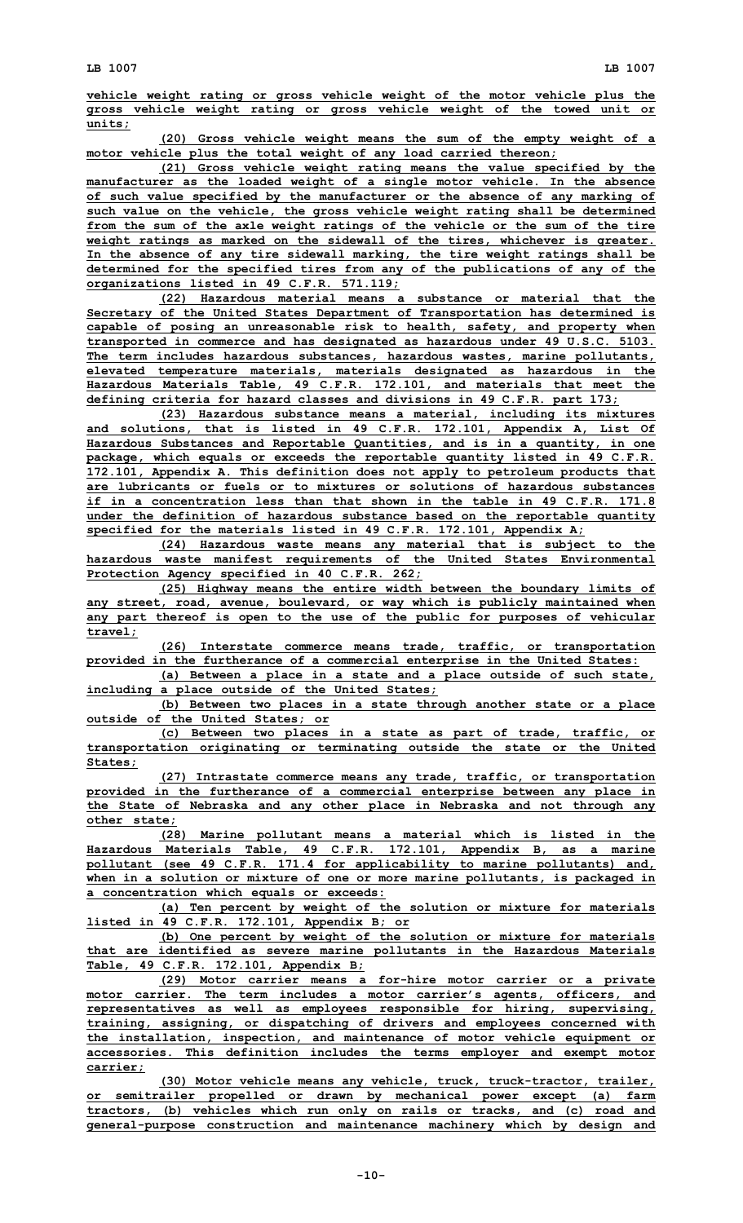**vehicle weight rating or gross vehicle weight of the motor vehicle plus the gross vehicle weight rating or gross vehicle weight of the towed unit or units;**

**(20) Gross vehicle weight means the sum of the empty weight of <sup>a</sup> motor vehicle plus the total weight of any load carried thereon;**

**(21) Gross vehicle weight rating means the value specified by the manufacturer as the loaded weight of <sup>a</sup> single motor vehicle. In the absence of such value specified by the manufacturer or the absence of any marking of such value on the vehicle, the gross vehicle weight rating shall be determined from the sum of the axle weight ratings of the vehicle or the sum of the tire weight ratings as marked on the sidewall of the tires, whichever is greater. In the absence of any tire sidewall marking, the tire weight ratings shall be determined for the specified tires from any of the publications of any of the organizations listed in 49 C.F.R. 571.119;**

**(22) Hazardous material means <sup>a</sup> substance or material that the Secretary of the United States Department of Transportation has determined is capable of posing an unreasonable risk to health, safety, and property when transported in commerce and has designated as hazardous under 49 U.S.C. 5103. The term includes hazardous substances, hazardous wastes, marine pollutants, elevated temperature materials, materials designated as hazardous in the Hazardous Materials Table, 49 C.F.R. 172.101, and materials that meet the defining criteria for hazard classes and divisions in 49 C.F.R. part 173;**

**(23) Hazardous substance means <sup>a</sup> material, including its mixtures and solutions, that is listed in 49 C.F.R. 172.101, Appendix A, List Of Hazardous Substances and Reportable Quantities, and is in <sup>a</sup> quantity, in one package, which equals or exceeds the reportable quantity listed in 49 C.F.R. 172.101, Appendix A. This definition does not apply to petroleum products that are lubricants or fuels or to mixtures or solutions of hazardous substances if in a concentration less than that shown in the table in 49 C.F.R. 171.8 under the definition of hazardous substance based on the reportable quantity specified for the materials listed in 49 C.F.R. 172.101, Appendix A;**

**(24) Hazardous waste means any material that is subject to the hazardous waste manifest requirements of the United States Environmental Protection Agency specified in 40 C.F.R. 262;**

**(25) Highway means the entire width between the boundary limits of any street, road, avenue, boulevard, or way which is publicly maintained when any part thereof is open to the use of the public for purposes of vehicular travel;**

**(26) Interstate commerce means trade, traffic, or transportation provided in the furtherance of <sup>a</sup> commercial enterprise in the United States:**

**(a) Between <sup>a</sup> place in <sup>a</sup> state and <sup>a</sup> place outside of such state, including <sup>a</sup> place outside of the United States;**

**(b) Between two places in <sup>a</sup> state through another state or <sup>a</sup> place outside of the United States; or**

**(c) Between two places in <sup>a</sup> state as part of trade, traffic, or transportation originating or terminating outside the state or the United States;**

**(27) Intrastate commerce means any trade, traffic, or transportation provided in the furtherance of <sup>a</sup> commercial enterprise between any place in the State of Nebraska and any other place in Nebraska and not through any other state;**

**(28) Marine pollutant means <sup>a</sup> material which is listed in the Hazardous Materials Table, 49 C.F.R. 172.101, Appendix B, as <sup>a</sup> marine pollutant (see 49 C.F.R. 171.4 for applicability to marine pollutants) and, when in <sup>a</sup> solution or mixture of one or more marine pollutants, is packaged in <sup>a</sup> concentration which equals or exceeds:**

**(a) Ten percent by weight of the solution or mixture for materials listed in 49 C.F.R. 172.101, Appendix B; or**

**(b) One percent by weight of the solution or mixture for materials that are identified as severe marine pollutants in the Hazardous Materials Table, 49 C.F.R. 172.101, Appendix B;**

**(29) Motor carrier means <sup>a</sup> for-hire motor carrier or <sup>a</sup> private motor carrier. The term includes <sup>a</sup> motor carrier's agents, officers, and representatives as well as employees responsible for hiring, supervising, training, assigning, or dispatching of drivers and employees concerned with the installation, inspection, and maintenance of motor vehicle equipment or accessories. This definition includes the terms employer and exempt motor carrier;**

**(30) Motor vehicle means any vehicle, truck, truck-tractor, trailer, or semitrailer propelled or drawn by mechanical power except (a) farm tractors, (b) vehicles which run only on rails or tracks, and (c) road and general-purpose construction and maintenance machinery which by design and**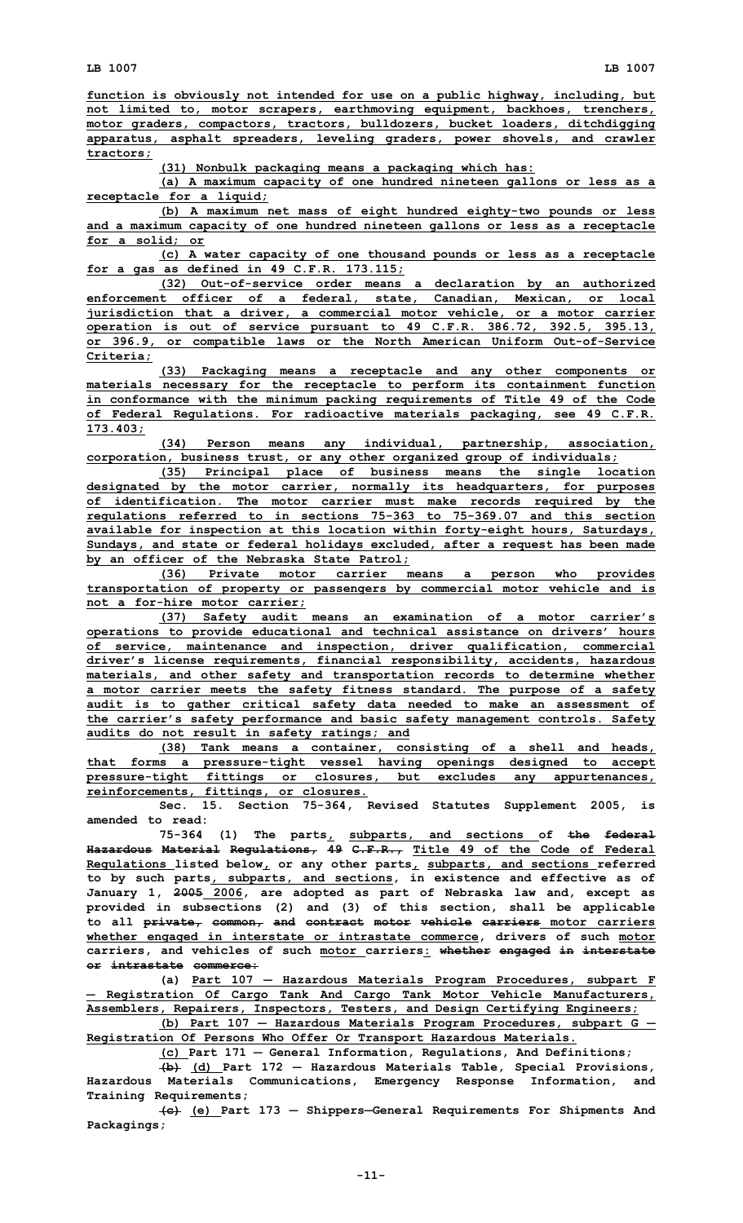**function is obviously not intended for use on <sup>a</sup> public highway, including, but not limited to, motor scrapers, earthmoving equipment, backhoes, trenchers, motor graders, compactors, tractors, bulldozers, bucket loaders, ditchdigging apparatus, asphalt spreaders, leveling graders, power shovels, and crawler tractors;**

**(31) Nonbulk packaging means <sup>a</sup> packaging which has:**

**(a) <sup>A</sup> maximum capacity of one hundred nineteen gallons or less as <sup>a</sup> receptacle for <sup>a</sup> liquid;**

**(b) <sup>A</sup> maximum net mass of eight hundred eighty-two pounds or less and <sup>a</sup> maximum capacity of one hundred nineteen gallons or less as <sup>a</sup> receptacle for <sup>a</sup> solid; or**

**(c) <sup>A</sup> water capacity of one thousand pounds or less as <sup>a</sup> receptacle for <sup>a</sup> gas as defined in 49 C.F.R. 173.115;**

**(32) Out-of-service order means <sup>a</sup> declaration by an authorized enforcement officer of <sup>a</sup> federal, state, Canadian, Mexican, or local jurisdiction that <sup>a</sup> driver, <sup>a</sup> commercial motor vehicle, or <sup>a</sup> motor carrier operation is out of service pursuant to 49 C.F.R. 386.72, 392.5, 395.13, or 396.9, or compatible laws or the North American Uniform Out-of-Service Criteria;**

**(33) Packaging means <sup>a</sup> receptacle and any other components or materials necessary for the receptacle to perform its containment function in conformance with the minimum packing requirements of Title 49 of the Code of Federal Regulations. For radioactive materials packaging, see 49 C.F.R. 173.403;**

**(34) Person means any individual, partnership, association, corporation, business trust, or any other organized group of individuals;**

**(35) Principal place of business means the single location designated by the motor carrier, normally its headquarters, for purposes of identification. The motor carrier must make records required by the regulations referred to in sections 75-363 to 75-369.07 and this section available for inspection at this location within forty-eight hours, Saturdays, Sundays, and state or federal holidays excluded, after <sup>a</sup> request has been made by an officer of the Nebraska State Patrol;**

**(36) Private motor carrier means <sup>a</sup> person who provides transportation of property or passengers by commercial motor vehicle and is not <sup>a</sup> for-hire motor carrier;**

**(37) Safety audit means an examination of <sup>a</sup> motor carrier's operations to provide educational and technical assistance on drivers' hours of service, maintenance and inspection, driver qualification, commercial driver's license requirements, financial responsibility, accidents, hazardous materials, and other safety and transportation records to determine whether <sup>a</sup> motor carrier meets the safety fitness standard. The purpose of <sup>a</sup> safety audit is to gather critical safety data needed to make an assessment of the carrier's safety performance and basic safety management controls. Safety audits do not result in safety ratings; and**

**(38) Tank means <sup>a</sup> container, consisting of <sup>a</sup> shell and heads, that forms <sup>a</sup> pressure-tight vessel having openings designed to accept pressure-tight fittings or closures, but excludes any appurtenances, reinforcements, fittings, or closures.**

**Sec. 15. Section 75-364, Revised Statutes Supplement 2005, is amended to read:**

**75-364 (1) The parts, subparts, and sections of the federal Hazardous Material Regulations, 49 C.F.R., Title 49 of the Code of Federal Regulations listed below, or any other parts, subparts, and sections referred to by such parts, subparts, and sections, in existence and effective as of January 1, 2005 2006, are adopted as part of Nebraska law and, except as provided in subsections (2) and (3) of this section, shall be applicable to all private, common, and contract motor vehicle carriers motor carriers whether engaged in interstate or intrastate commerce, drivers of such motor carriers, and vehicles of such motor carriers: whether engaged in interstate or intrastate commerce:**

**(a) Part 107** ― **Hazardous Materials Program Procedures, subpart <sup>F</sup>** ― **Registration Of Cargo Tank And Cargo Tank Motor Vehicle Manufacturers, Assemblers, Repairers, Inspectors, Testers, and Design Certifying Engineers;**

**(b) Part 107** ― **Hazardous Materials Program Procedures, subpart G** ― **Registration Of Persons Who Offer Or Transport Hazardous Materials.**

**(c) Part 171** — **General Information, Regulations, And Definitions;**

**(b) (d) Part 172** — **Hazardous Materials Table, Special Provisions, Hazardous Materials Communications, Emergency Response Information, and Training Requirements;**

**(c) (e) Part 173** — **Shippers**—**General Requirements For Shipments And Packagings;**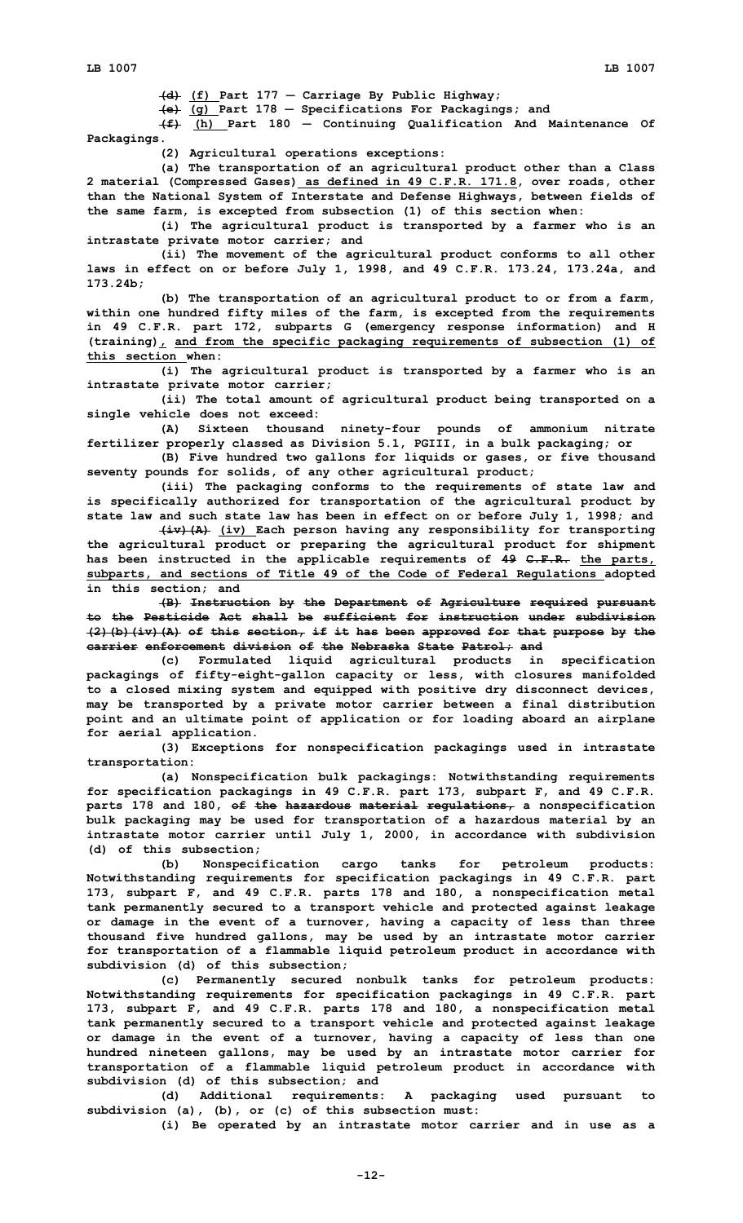**(d) (f) Part 177** — **Carriage By Public Highway;**

**(e) (g) Part 178** — **Specifications For Packagings; and**

**(f) (h) Part 180** — **Continuing Qualification And Maintenance Of Packagings.**

**(2) Agricultural operations exceptions:**

**(a) The transportation of an agricultural product other than <sup>a</sup> Class 2 material (Compressed Gases) as defined in 49 C.F.R. 171.8, over roads, other than the National System of Interstate and Defense Highways, between fields of the same farm, is excepted from subsection (1) of this section when:**

**(i) The agricultural product is transported by <sup>a</sup> farmer who is an intrastate private motor carrier; and**

**(ii) The movement of the agricultural product conforms to all other laws in effect on or before July 1, 1998, and 49 C.F.R. 173.24, 173.24a, and 173.24b;**

**(b) The transportation of an agricultural product to or from <sup>a</sup> farm, within one hundred fifty miles of the farm, is excepted from the requirements in 49 C.F.R. part 172, subparts G (emergency response information) and <sup>H</sup> (training), and from the specific packaging requirements of subsection (1) of this section when:**

**(i) The agricultural product is transported by <sup>a</sup> farmer who is an intrastate private motor carrier;**

**(ii) The total amount of agricultural product being transported on <sup>a</sup> single vehicle does not exceed:**

**(A) Sixteen thousand ninety-four pounds of ammonium nitrate fertilizer properly classed as Division 5.1, PGIII, in <sup>a</sup> bulk packaging; or**

**(B) Five hundred two gallons for liquids or gases, or five thousand seventy pounds for solids, of any other agricultural product;**

**(iii) The packaging conforms to the requirements of state law and is specifically authorized for transportation of the agricultural product by state law and such state law has been in effect on or before July 1, 1998; and**

**(iv)(A) (iv) Each person having any responsibility for transporting the agricultural product or preparing the agricultural product for shipment has been instructed in the applicable requirements of 49 C.F.R. the parts, subparts, and sections of Title 49 of the Code of Federal Regulations adopted in this section; and**

**(B) Instruction by the Department of Agriculture required pursuant to the Pesticide Act shall be sufficient for instruction under subdivision (2)(b)(iv)(A) of this section, if it has been approved for that purpose by the carrier enforcement division of the Nebraska State Patrol; and**

**(c) Formulated liquid agricultural products in specification packagings of fifty-eight-gallon capacity or less, with closures manifolded to <sup>a</sup> closed mixing system and equipped with positive dry disconnect devices, may be transported by <sup>a</sup> private motor carrier between <sup>a</sup> final distribution point and an ultimate point of application or for loading aboard an airplane for aerial application.**

**(3) Exceptions for nonspecification packagings used in intrastate transportation:**

**(a) Nonspecification bulk packagings: Notwithstanding requirements for specification packagings in 49 C.F.R. part 173, subpart F, and 49 C.F.R. parts 178 and 180, of the hazardous material regulations, <sup>a</sup> nonspecification bulk packaging may be used for transportation of <sup>a</sup> hazardous material by an intrastate motor carrier until July 1, 2000, in accordance with subdivision (d) of this subsection;**

**(b) Nonspecification cargo tanks for petroleum products: Notwithstanding requirements for specification packagings in 49 C.F.R. part 173, subpart F, and 49 C.F.R. parts 178 and 180, <sup>a</sup> nonspecification metal tank permanently secured to <sup>a</sup> transport vehicle and protected against leakage or damage in the event of <sup>a</sup> turnover, having <sup>a</sup> capacity of less than three thousand five hundred gallons, may be used by an intrastate motor carrier for transportation of <sup>a</sup> flammable liquid petroleum product in accordance with subdivision (d) of this subsection;**

**(c) Permanently secured nonbulk tanks for petroleum products: Notwithstanding requirements for specification packagings in 49 C.F.R. part 173, subpart F, and 49 C.F.R. parts 178 and 180, <sup>a</sup> nonspecification metal tank permanently secured to <sup>a</sup> transport vehicle and protected against leakage or damage in the event of <sup>a</sup> turnover, having <sup>a</sup> capacity of less than one hundred nineteen gallons, may be used by an intrastate motor carrier for transportation of <sup>a</sup> flammable liquid petroleum product in accordance with subdivision (d) of this subsection; and**

**(d) Additional requirements: <sup>A</sup> packaging used pursuant to subdivision (a), (b), or (c) of this subsection must:**

**(i) Be operated by an intrastate motor carrier and in use as <sup>a</sup>**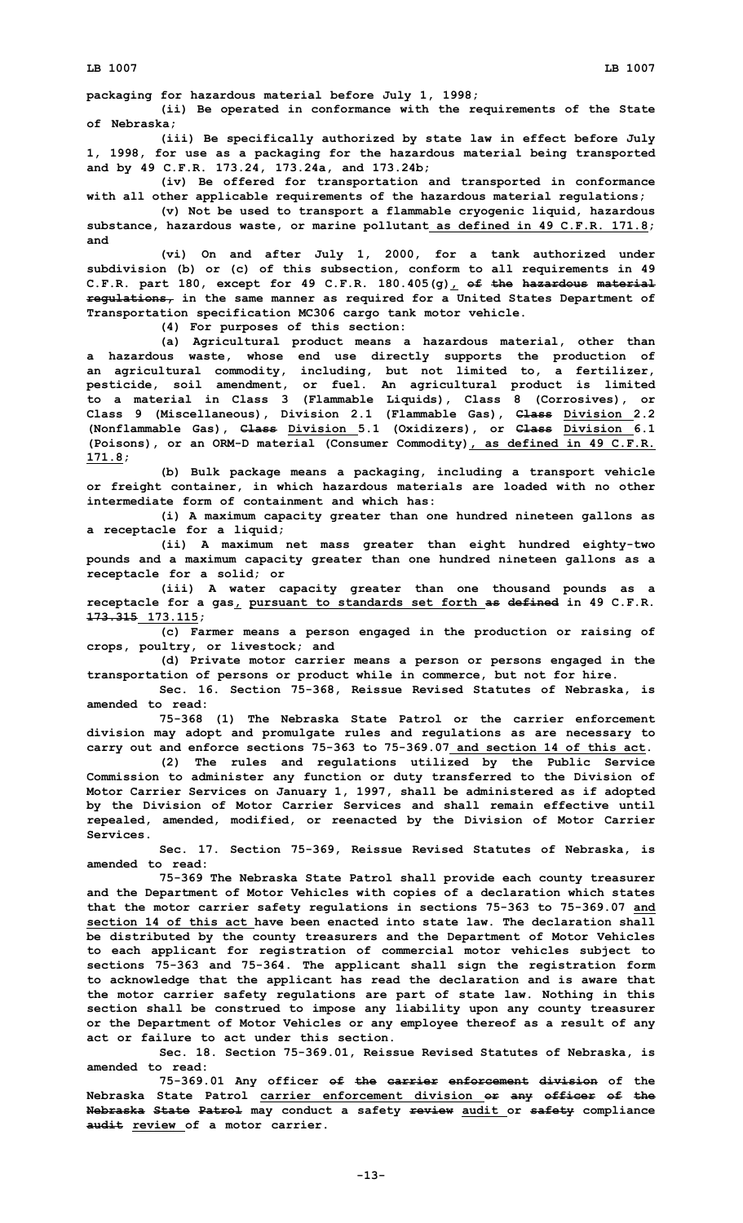**packaging for hazardous material before July 1, 1998;**

**(ii) Be operated in conformance with the requirements of the State of Nebraska;**

**(iii) Be specifically authorized by state law in effect before July 1, 1998, for use as <sup>a</sup> packaging for the hazardous material being transported and by 49 C.F.R. 173.24, 173.24a, and 173.24b;**

**(iv) Be offered for transportation and transported in conformance with all other applicable requirements of the hazardous material regulations;**

**(v) Not be used to transport <sup>a</sup> flammable cryogenic liquid, hazardous substance, hazardous waste, or marine pollutant as defined in 49 C.F.R. 171.8; and**

**(vi) On and after July 1, 2000, for <sup>a</sup> tank authorized under subdivision (b) or (c) of this subsection, conform to all requirements in 49 C.F.R. part 180, except for 49 C.F.R. 180.405(g), of the hazardous material regulations, in the same manner as required for <sup>a</sup> United States Department of Transportation specification MC306 cargo tank motor vehicle.**

**(4) For purposes of this section:**

**(a) Agricultural product means <sup>a</sup> hazardous material, other than <sup>a</sup> hazardous waste, whose end use directly supports the production of an agricultural commodity, including, but not limited to, <sup>a</sup> fertilizer, pesticide, soil amendment, or fuel. An agricultural product is limited to <sup>a</sup> material in Class 3 (Flammable Liquids), Class 8 (Corrosives), or Class 9 (Miscellaneous), Division 2.1 (Flammable Gas), Class Division 2.2 (Nonflammable Gas), Class Division 5.1 (Oxidizers), or Class Division 6.1 (Poisons), or an ORM-D material (Consumer Commodity), as defined in 49 C.F.R. 171.8;**

**(b) Bulk package means <sup>a</sup> packaging, including <sup>a</sup> transport vehicle or freight container, in which hazardous materials are loaded with no other intermediate form of containment and which has:**

**(i) <sup>A</sup> maximum capacity greater than one hundred nineteen gallons as <sup>a</sup> receptacle for <sup>a</sup> liquid;**

**(ii) <sup>A</sup> maximum net mass greater than eight hundred eighty-two pounds and <sup>a</sup> maximum capacity greater than one hundred nineteen gallons as <sup>a</sup> receptacle for <sup>a</sup> solid; or**

**(iii) <sup>A</sup> water capacity greater than one thousand pounds as <sup>a</sup> receptacle for <sup>a</sup> gas, pursuant to standards set forth as defined in 49 C.F.R. 173.315 173.115;**

**(c) Farmer means <sup>a</sup> person engaged in the production or raising of crops, poultry, or livestock; and**

**(d) Private motor carrier means <sup>a</sup> person or persons engaged in the transportation of persons or product while in commerce, but not for hire.**

**Sec. 16. Section 75-368, Reissue Revised Statutes of Nebraska, is amended to read:**

**75-368 (1) The Nebraska State Patrol or the carrier enforcement division may adopt and promulgate rules and regulations as are necessary to carry out and enforce sections 75-363 to 75-369.07 and section 14 of this act.**

**(2) The rules and regulations utilized by the Public Service Commission to administer any function or duty transferred to the Division of Motor Carrier Services on January 1, 1997, shall be administered as if adopted by the Division of Motor Carrier Services and shall remain effective until repealed, amended, modified, or reenacted by the Division of Motor Carrier Services.**

**Sec. 17. Section 75-369, Reissue Revised Statutes of Nebraska, is amended to read:**

**75-369 The Nebraska State Patrol shall provide each county treasurer and the Department of Motor Vehicles with copies of <sup>a</sup> declaration which states that the motor carrier safety regulations in sections 75-363 to 75-369.07 and section 14 of this act have been enacted into state law. The declaration shall be distributed by the county treasurers and the Department of Motor Vehicles to each applicant for registration of commercial motor vehicles subject to sections 75-363 and 75-364. The applicant shall sign the registration form to acknowledge that the applicant has read the declaration and is aware that the motor carrier safety regulations are part of state law. Nothing in this section shall be construed to impose any liability upon any county treasurer or the Department of Motor Vehicles or any employee thereof as <sup>a</sup> result of any act or failure to act under this section.**

**Sec. 18. Section 75-369.01, Reissue Revised Statutes of Nebraska, is amended to read:**

**75-369.01 Any officer of the carrier enforcement division of the Nebraska State Patrol carrier enforcement division or any officer of the Nebraska State Patrol may conduct <sup>a</sup> safety review audit or safety compliance audit review of a motor carrier.**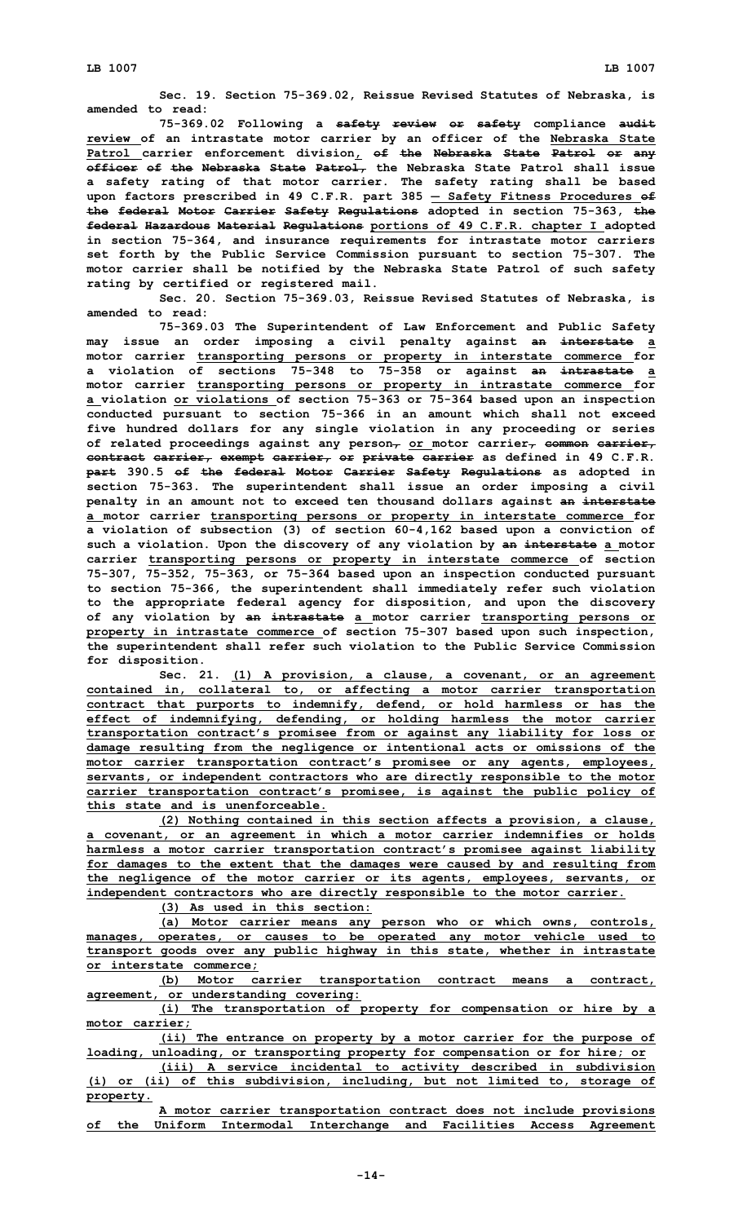**Sec. 19. Section 75-369.02, Reissue Revised Statutes of Nebraska, is amended to read:**

**75-369.02 Following <sup>a</sup> safety review or safety compliance audit review of an intrastate motor carrier by an officer of the Nebraska State Patrol carrier enforcement division, of the Nebraska State Patrol or any officer of the Nebraska State Patrol, the Nebraska State Patrol shall issue <sup>a</sup> safety rating of that motor carrier. The safety rating shall be based upon factors prescribed in 49 C.F.R. part 385** ― **Safety Fitness Procedures of the federal Motor Carrier Safety Regulations adopted in section 75-363, the federal Hazardous Material Regulations portions of 49 C.F.R. chapter <sup>I</sup> adopted in section 75-364, and insurance requirements for intrastate motor carriers set forth by the Public Service Commission pursuant to section 75-307. The motor carrier shall be notified by the Nebraska State Patrol of such safety rating by certified or registered mail.**

**Sec. 20. Section 75-369.03, Reissue Revised Statutes of Nebraska, is amended to read:**

**75-369.03 The Superintendent of Law Enforcement and Public Safety may issue an order imposing <sup>a</sup> civil penalty against an interstate <sup>a</sup> motor carrier transporting persons or property in interstate commerce for <sup>a</sup> violation of sections 75-348 to 75-358 or against an intrastate <sup>a</sup> motor carrier transporting persons or property in intrastate commerce for <sup>a</sup> violation or violations of section 75-363 or 75-364 based upon an inspection conducted pursuant to section 75-366 in an amount which shall not exceed five hundred dollars for any single violation in any proceeding or series of related proceedings against any person, or motor carrier, common carrier, contract carrier, exempt carrier, or private carrier as defined in 49 C.F.R. part 390.5 of the federal Motor Carrier Safety Regulations as adopted in section 75-363. The superintendent shall issue an order imposing <sup>a</sup> civil penalty in an amount not to exceed ten thousand dollars against an interstate <sup>a</sup> motor carrier transporting persons or property in interstate commerce for <sup>a</sup> violation of subsection (3) of section 60-4,162 based upon <sup>a</sup> conviction of such <sup>a</sup> violation. Upon the discovery of any violation by an interstate <sup>a</sup> motor carrier transporting persons or property in interstate commerce of section 75-307, 75-352, 75-363, or 75-364 based upon an inspection conducted pursuant to section 75-366, the superintendent shall immediately refer such violation to the appropriate federal agency for disposition, and upon the discovery of any violation by an intrastate <sup>a</sup> motor carrier transporting persons or property in intrastate commerce of section 75-307 based upon such inspection, the superintendent shall refer such violation to the Public Service Commission for disposition.**

**Sec. 21. (1) <sup>A</sup> provision, <sup>a</sup> clause, <sup>a</sup> covenant, or an agreement contained in, collateral to, or affecting <sup>a</sup> motor carrier transportation contract that purports to indemnify, defend, or hold harmless or has the effect of indemnifying, defending, or holding harmless the motor carrier transportation contract's promisee from or against any liability for loss or damage resulting from the negligence or intentional acts or omissions of the motor carrier transportation contract's promisee or any agents, employees, servants, or independent contractors who are directly responsible to the motor carrier transportation contract's promisee, is against the public policy of this state and is unenforceable.**

**(2) Nothing contained in this section affects <sup>a</sup> provision, <sup>a</sup> clause, <sup>a</sup> covenant, or an agreement in which <sup>a</sup> motor carrier indemnifies or holds harmless <sup>a</sup> motor carrier transportation contract's promisee against liability for damages to the extent that the damages were caused by and resulting from the negligence of the motor carrier or its agents, employees, servants, or independent contractors who are directly responsible to the motor carrier.**

**(3) As used in this section:**

**(a) Motor carrier means any person who or which owns, controls, manages, operates, or causes to be operated any motor vehicle used to transport goods over any public highway in this state, whether in intrastate or interstate commerce;**

**(b) Motor carrier transportation contract means <sup>a</sup> contract, agreement, or understanding covering:**

**(i) The transportation of property for compensation or hire by <sup>a</sup> motor carrier;**

**(ii) The entrance on property by <sup>a</sup> motor carrier for the purpose of loading, unloading, or transporting property for compensation or for hire; or**

**(iii) <sup>A</sup> service incidental to activity described in subdivision (i) or (ii) of this subdivision, including, but not limited to, storage of property.**

|  |  | A motor carrier transportation contract does not include provisions   |  |  |  |
|--|--|-----------------------------------------------------------------------|--|--|--|
|  |  | of the Uniform Intermodal Interchange and Facilities Access Agreement |  |  |  |